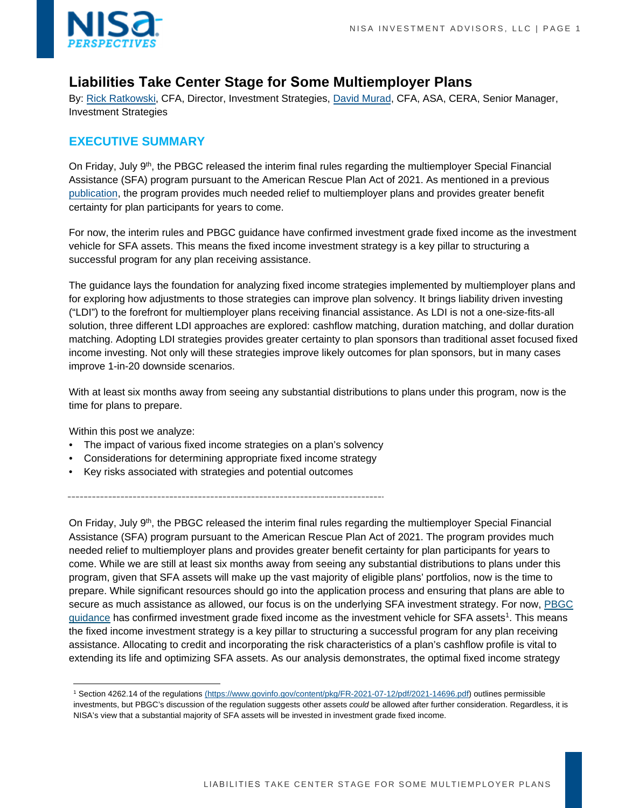

# **Liabilities Take Center Stage for Some Multiemployer Plans**

By: [Rick Ratkowski,](mailto:rick.ratkowski@nisa.com) CFA, Director, Investment Strategies, [David Murad,](mailto:david.murad@nisa.com) CFA, ASA, CERA, Senior Manager, Investment Strategies

## **EXECUTIVE SUMMARY**

On Friday, July 9<sup>th</sup>, the PBGC released the interim final rules regarding the multiemployer Special Financial Assistance (SFA) program pursuant to the American Rescue Plan Act of 2021. As mentioned in a previous [publication](https://www.nisa.com/perspectives/much-needed-multiemployer-financial-assistance-but-dont-count-on-30-years/), the program provides much needed relief to multiemployer plans and provides greater benefit certainty for plan participants for years to come.

For now, the interim rules and PBGC guidance have confirmed investment grade fixed income as the investment vehicle for SFA assets. This means the fixed income investment strategy is a key pillar to structuring a successful program for any plan receiving assistance.

The guidance lays the foundation for analyzing fixed income strategies implemented by multiemployer plans and for exploring how adjustments to those strategies can improve plan solvency. It brings liability driven investing ("LDI") to the forefront for multiemployer plans receiving financial assistance. As LDI is not a one-size-fits-all solution, three different LDI approaches are explored: cashflow matching, duration matching, and dollar duration matching. Adopting LDI strategies provides greater certainty to plan sponsors than traditional asset focused fixed income investing. Not only will these strategies improve likely outcomes for plan sponsors, but in many cases improve 1-in-20 downside scenarios.

With at least six months away from seeing any substantial distributions to plans under this program, now is the time for plans to prepare.

Within this post we analyze:

- The impact of various fixed income strategies on a plan's solvency
- Considerations for determining appropriate fixed income strategy
- Key risks associated with strategies and potential outcomes

On Friday, July 9<sup>th</sup>, the PBGC released the interim final rules regarding the multiemployer Special Financial Assistance (SFA) program pursuant to the American Rescue Plan Act of 2021. The program provides much needed relief to multiemployer plans and provides greater benefit certainty for plan participants for years to come. While we are still at least six months away from seeing any substantial distributions to plans under this program, given that SFA assets will make up the vast majority of eligible plans' portfolios, now is the time to prepare. While significant resources should go into the application process and ensuring that plans are able to secure as much assistance as allowed, our focus is on the underlying SFA investment strategy. For now, PBGC [guidance](https://www.govinfo.gov/content/pkg/FR-2021-07-12/pdf/2021-14696.pdf) has confirmed investment grade fixed income as the investment vehicle for SFA assets<sup>1</sup>. This means the fixed income investment strategy is a key pillar to structuring a successful program for any plan receiving assistance. Allocating to credit and incorporating the risk characteristics of a plan's cashflow profile is vital to extending its life and optimizing SFA assets. As our analysis demonstrates, the optimal fixed income strategy

<sup>&</sup>lt;sup>1</sup> Section 4262.14 of the regulations (https://www.govinfo.gov/content/pkg/FR-2021-07-12/pdf/2021-14696.pdf) outlines permissible investments, but PBGC's discussion of the regulation suggests other assets *could* be allowed after further consideration. Regardless, it is NISA's view that a substantial majority of SFA assets will be invested in investment grade fixed income.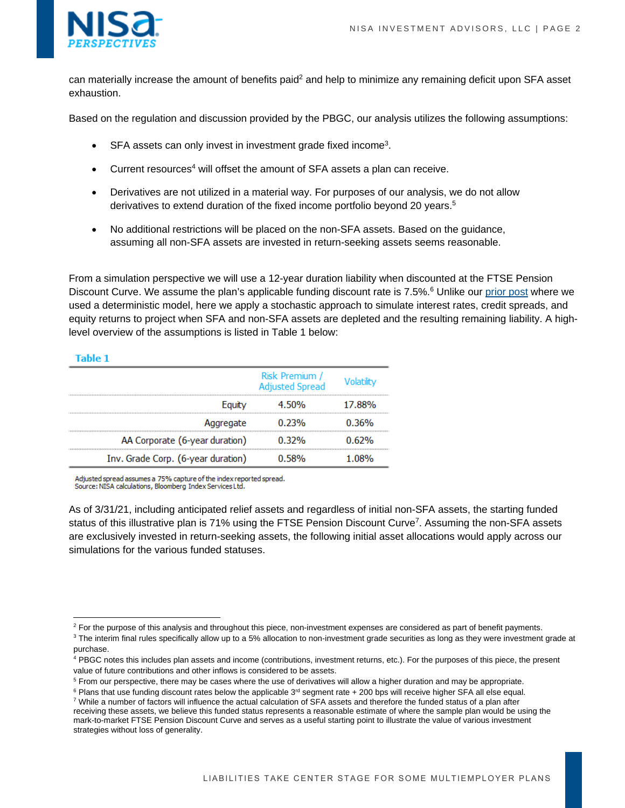

can materially increase the amount of benefits paid<sup>2</sup> and help to minimize any remaining deficit upon SFA asset exhaustion.

Based on the regulation and discussion provided by the PBGC, our analysis utilizes the following assumptions:

- $\bullet$  SFA assets can only invest in investment grade fixed income<sup>3</sup>.
- Current resources<sup>4</sup> will offset the amount of SFA assets a plan can receive.
- Derivatives are not utilized in a material way. For purposes of our analysis, we do not allow derivatives to extend duration of the fixed income portfolio beyond 20 years.<sup>5</sup>
- No additional restrictions will be placed on the non-SFA assets. Based on the guidance, assuming all non-SFA assets are invested in return-seeking assets seems reasonable.

From a simulation perspective we will use a 12-year duration liability when discounted at the FTSE Pension Discount Curve. We assume the plan's applicable funding discount rate is 7.5%.<sup>6</sup> Unlike our [prior post](https://www.nisa.com/perspectives/much-needed-multiemployer-financial-assistance-but-dont-count-on-30-years/) where we used a deterministic model, here we apply a stochastic approach to simulate interest rates, credit spreads, and equity returns to project when SFA and non-SFA assets are depleted and the resulting remaining liability. A highlevel overview of the assumptions is listed in Table 1 below:

### **Table 1**

|                                    | Risk Premium /<br><b>Adjusted Spread</b> | <b>Volatility</b> |
|------------------------------------|------------------------------------------|-------------------|
| Equity                             | 4.50%                                    | 17.88%            |
| Aggregate                          | 0.23%                                    | $0.36\%$          |
| AA Corporate (6-year duration)     | 0.32%                                    | 0.62%             |
| Inv. Grade Corp. (6-year duration) | 0.58%                                    | 1.08%             |

Adjusted spread assumes a 75% capture of the index reported spread.

Source: NISA calculations, Bloomberg Index Services Ltd.

As of 3/31/21, including anticipated relief assets and regardless of initial non-SFA assets, the starting funded status of this illustrative plan is 71% using the FTSE Pension Discount Curve<sup>7</sup>. Assuming the non-SFA assets are exclusively invested in return-seeking assets, the following initial asset allocations would apply across our simulations for the various funded statuses.

<sup>&</sup>lt;sup>2</sup> For the purpose of this analysis and throughout this piece, non-investment expenses are considered as part of benefit payments.<br><sup>3</sup> The interim final rules specifically allow up to a 5% allocation to non-investment gr

<sup>&</sup>lt;sup>3</sup> The interim final rules specifically allow up to a 5% allocation to non-investment grade securities as long as they were investment grade at purchase.

<sup>&</sup>lt;sup>4</sup> PBGC notes this includes plan assets and income (contributions, investment returns, etc.). For the purposes of this piece, the present value of future contributions and other inflows is considered to be assets.

<sup>&</sup>lt;sup>5</sup> From our perspective, there may be cases where the use of derivatives will allow a higher duration and may be appropriate.

<sup>&</sup>lt;sup>6</sup> Plans that use funding discount rates below the applicable 3<sup>rd</sup> segment rate + 200 bps will receive higher SFA all else equal.<br>7 While a number of factors will influence the actual calculation of SEA assets and theref <sup>7</sup> While a number of factors will influence the actual calculation of SFA assets and therefore the funded status of a plan after receiving these assets, we believe this funded status represents a reasonable estimate of where the sample plan would be using the

mark-to-market FTSE Pension Discount Curve and serves as a useful starting point to illustrate the value of various investment strategies without loss of generality.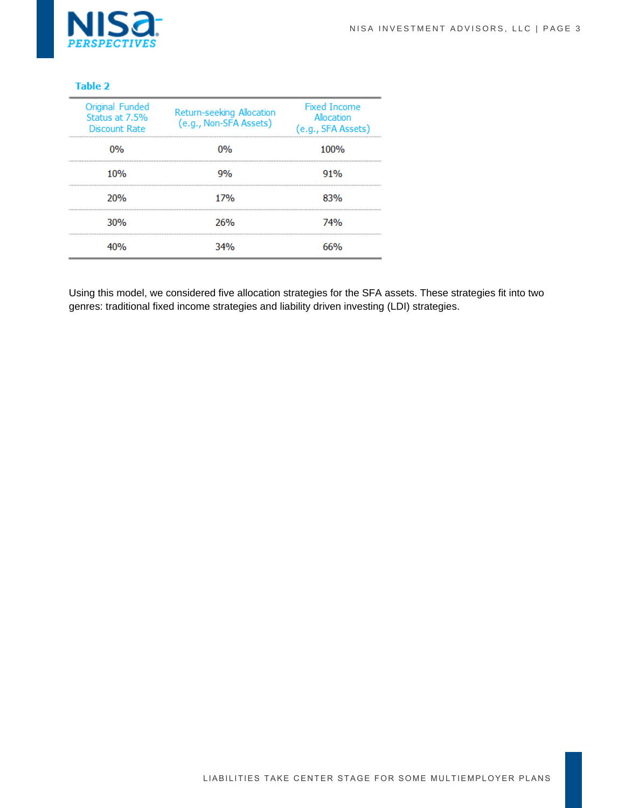

| Original Funded<br>Status at 7.5%<br>Discount Rate | Return-seeking Allocation<br>(e.g., Non-SFA Assets) | <b>Fixed Income</b><br>Allocation<br>(e.g., SFA Assets) |
|----------------------------------------------------|-----------------------------------------------------|---------------------------------------------------------|
| 0%                                                 | በ%                                                  | 100%                                                    |
| 10%                                                | 9%                                                  | 91%                                                     |
| 20%                                                | 17%                                                 | 83%                                                     |
| 30%                                                | 26%                                                 | 74%                                                     |
|                                                    | 34%                                                 | 66%                                                     |

Using this model, we considered five allocation strategies for the SFA assets. These strategies fit into two genres: traditional fixed income strategies and liability driven investing (LDI) strategies.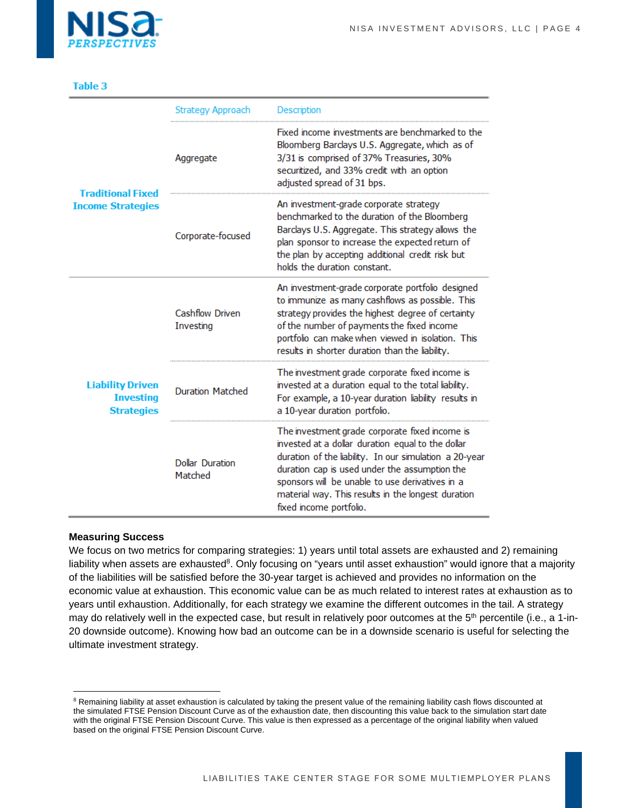|                                                                  | Strategy Approach                 | <b>Description</b>                                                                                                                                                                                                                                                                                                                                 |
|------------------------------------------------------------------|-----------------------------------|----------------------------------------------------------------------------------------------------------------------------------------------------------------------------------------------------------------------------------------------------------------------------------------------------------------------------------------------------|
| <b>Traditional Fixed</b>                                         | Aggregate                         | Fixed income investments are benchmarked to the<br>Bloomberg Barclays U.S. Aggregate, which as of<br>3/31 is comprised of 37% Treasuries, 30%<br>securitized, and 33% credit with an option<br>adjusted spread of 31 bps.                                                                                                                          |
| <b>Income Strategies</b>                                         | Corporate-focused                 | An investment-grade corporate strategy<br>benchmarked to the duration of the Bloomberg<br>Barclays U.S. Aggregate. This strategy allows the<br>plan sponsor to increase the expected return of<br>the plan by accepting additional credit risk but<br>holds the duration constant.                                                                 |
| <b>Liability Driven</b><br><b>Investing</b><br><b>Strategies</b> | Cashflow Driven<br>Investing      | An investment-grade corporate portfolio designed<br>to immunize as many cashflows as possible. This<br>strategy provides the highest degree of certainty<br>of the number of payments the fixed income<br>portfolio can make when viewed in isolation. This<br>results in shorter duration than the liability.                                     |
|                                                                  | <b>Duration Matched</b>           | The investment grade corporate fixed income is<br>invested at a duration equal to the total liability.<br>For example, a 10-year duration liability results in<br>a 10-year duration portfolio.                                                                                                                                                    |
|                                                                  | <b>Dollar Duration</b><br>Matched | The investment grade corporate fixed income is<br>invested at a dollar duration equal to the dollar<br>duration of the liability. In our simulation a 20-year<br>duration cap is used under the assumption the<br>sponsors will be unable to use derivatives in a<br>material way. This results in the longest duration<br>fixed income portfolio. |

#### **Measuring Success**

We focus on two metrics for comparing strategies: 1) years until total assets are exhausted and 2) remaining liability when assets are exhausted<sup>8</sup>. Only focusing on "years until asset exhaustion" would ignore that a majority of the liabilities will be satisfied before the 30-year target is achieved and provides no information on the economic value at exhaustion. This economic value can be as much related to interest rates at exhaustion as to years until exhaustion. Additionally, for each strategy we examine the different outcomes in the tail. A strategy may do relatively well in the expected case, but result in relatively poor outcomes at the 5<sup>th</sup> percentile (i.e., a 1-in-20 downside outcome). Knowing how bad an outcome can be in a downside scenario is useful for selecting the ultimate investment strategy.

<sup>&</sup>lt;sup>8</sup> Remaining liability at asset exhaustion is calculated by taking the present value of the remaining liability cash flows discounted at the simulated FTSE Pension Discount Curve as of the exhaustion date, then discounting this value back to the simulation start date with the original FTSE Pension Discount Curve. This value is then expressed as a percentage of the original liability when valued based on the original FTSE Pension Discount Curve.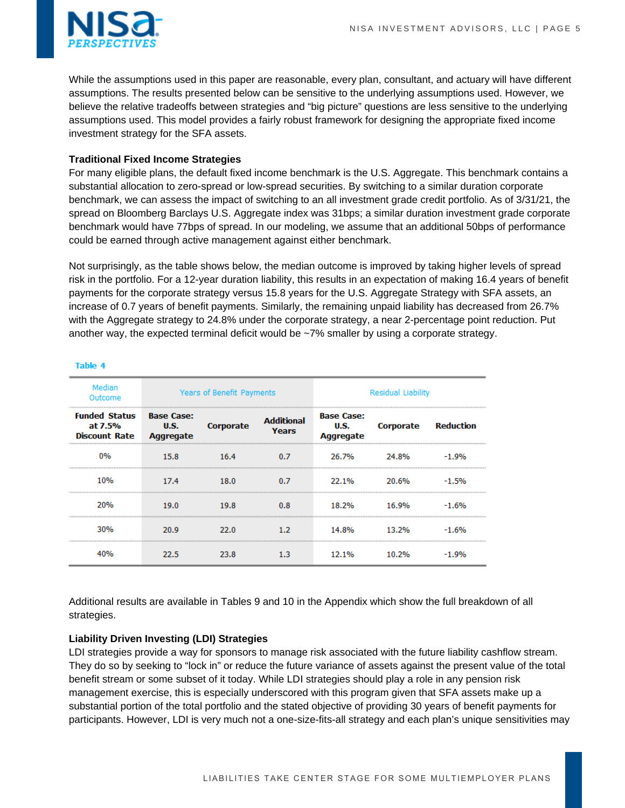

While the assumptions used in this paper are reasonable, every plan, consultant, and actuary will have different assumptions. The results presented below can be sensitive to the underlying assumptions used. However, we believe the relative tradeoffs between strategies and "big picture" questions are less sensitive to the underlying assumptions used. This model provides a fairly robust framework for designing the appropriate fixed income investment strategy for the SFA assets.

## **Traditional Fixed Income Strategies**

For many eligible plans, the default fixed income benchmark is the U.S. Aggregate. This benchmark contains a substantial allocation to zero-spread or low-spread securities. By switching to a similar duration corporate benchmark, we can assess the impact of switching to an all investment grade credit portfolio. As of 3/31/21, the spread on Bloomberg Barclays U.S. Aggregate index was 31bps; a similar duration investment grade corporate benchmark would have 77bps of spread. In our modeling, we assume that an additional 50bps of performance could be earned through active management against either benchmark.

Not surprisingly, as the table shows below, the median outcome is improved by taking higher levels of spread risk in the portfolio. For a 12-year duration liability, this results in an expectation of making 16.4 years of benefit payments for the corporate strategy versus 15.8 years for the U.S. Aggregate Strategy with SFA assets, an increase of 0.7 years of benefit payments. Similarly, the remaining unpaid liability has decreased from 26.7% with the Aggregate strategy to 24.8% under the corporate strategy, a near 2-percentage point reduction. Put another way, the expected terminal deficit would be  $\sim$ 7% smaller by using a corporate strategy.

| Median<br>Outcome                                       | Years of Benefit Payments              |                  |                            | <b>Residual Liability</b>                     |                            |         |  |
|---------------------------------------------------------|----------------------------------------|------------------|----------------------------|-----------------------------------------------|----------------------------|---------|--|
| <b>Funded Status</b><br>at 7.5%<br><b>Discount Rate</b> | <b>Base Case:</b><br>U.S.<br>Aggregate | <b>Corporate</b> | <b>Additional</b><br>Years | <b>Base Case:</b><br>U.S.<br><b>Aggregate</b> | <b>Corporate Reduction</b> |         |  |
| 0%                                                      | 15.8                                   | 16.4             | 0.7                        | 26.7%                                         | 24.8%                      | $-1.9%$ |  |
| 10%                                                     | 17.4                                   | 18.0             | 0.7                        | 22.1%                                         | 20.6%                      | $-1.5%$ |  |
| 20%                                                     | 19.0                                   | 19.8             | 0.8                        | 18.2%                                         | 16.9%                      | $-1.6%$ |  |
| 30%                                                     | 20.9                                   | 22.0             | 1.2 <sub>1</sub>           | 14.8%                                         | 13.2%                      | $-1.6%$ |  |
|                                                         | 22 S                                   | 23.8             | 1.3                        | 12.1%                                         | 1በ ጋ‰                      |         |  |

Table 4

Additional results are available in Tables 9 and 10 in the Appendix which show the full breakdown of all strategies.

### **Liability Driven Investing (LDI) Strategies**

LDI strategies provide a way for sponsors to manage risk associated with the future liability cashflow stream. They do so by seeking to "lock in" or reduce the future variance of assets against the present value of the total benefit stream or some subset of it today. While LDI strategies should play a role in any pension risk management exercise, this is especially underscored with this program given that SFA assets make up a substantial portion of the total portfolio and the stated objective of providing 30 years of benefit payments for participants. However, LDI is very much not a one-size-fits-all strategy and each plan's unique sensitivities may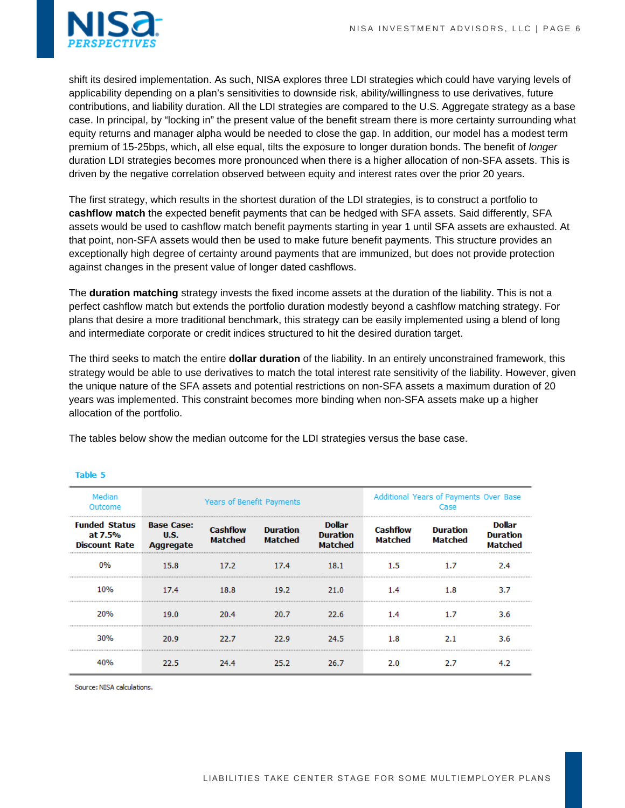

shift its desired implementation. As such, NISA explores three LDI strategies which could have varying levels of applicability depending on a plan's sensitivities to downside risk, ability/willingness to use derivatives, future contributions, and liability duration. All the LDI strategies are compared to the U.S. Aggregate strategy as a base case. In principal, by "locking in" the present value of the benefit stream there is more certainty surrounding what equity returns and manager alpha would be needed to close the gap. In addition, our model has a modest term premium of 15-25bps, which, all else equal, tilts the exposure to longer duration bonds. The benefit of *longer* duration LDI strategies becomes more pronounced when there is a higher allocation of non-SFA assets. This is driven by the negative correlation observed between equity and interest rates over the prior 20 years.

The first strategy, which results in the shortest duration of the LDI strategies, is to construct a portfolio to **cashflow match** the expected benefit payments that can be hedged with SFA assets. Said differently, SFA assets would be used to cashflow match benefit payments starting in year 1 until SFA assets are exhausted. At that point, non-SFA assets would then be used to make future benefit payments. This structure provides an exceptionally high degree of certainty around payments that are immunized, but does not provide protection against changes in the present value of longer dated cashflows.

The **duration matching** strategy invests the fixed income assets at the duration of the liability. This is not a perfect cashflow match but extends the portfolio duration modestly beyond a cashflow matching strategy. For plans that desire a more traditional benchmark, this strategy can be easily implemented using a blend of long and intermediate corporate or credit indices structured to hit the desired duration target.

The third seeks to match the entire **dollar duration** of the liability. In an entirely unconstrained framework, this strategy would be able to use derivatives to match the total interest rate sensitivity of the liability. However, given the unique nature of the SFA assets and potential restrictions on non-SFA assets a maximum duration of 20 years was implemented. This constraint becomes more binding when non-SFA assets make up a higher allocation of the portfolio.

The tables below show the median outcome for the LDI strategies versus the base case.

| Median<br>Outcome                                       |                                                      | Years of Benefit Payments         |                                   |                                      | Additional Years of Payments Over Base<br>Case |                                   |                                      |
|---------------------------------------------------------|------------------------------------------------------|-----------------------------------|-----------------------------------|--------------------------------------|------------------------------------------------|-----------------------------------|--------------------------------------|
| <b>Funded Status</b><br>at 7.5%<br><b>Discount Rate</b> | <b>Base Case:</b><br><b>U.S.</b><br><b>Aggregate</b> | <b>Cashflow</b><br><b>Matched</b> | <b>Duration</b><br><b>Matched</b> | Dollar<br><b>Duration</b><br>Matched | <b>Cashflow</b><br><b>Matched</b>              | <b>Duration</b><br><b>Matched</b> | Dollar<br><b>Duration</b><br>Matched |
| በ%                                                      | 15.8                                                 | 17.2                              | 17.4                              | 18.1                                 | 1.5                                            | 1.7                               | 2.4                                  |
| 10%                                                     | 17.4                                                 | 18.8                              | 19.2                              | 21.0                                 | 1.4                                            | 1.8                               | 3.7                                  |
| 20%                                                     | 19.0                                                 | 20.4                              | 20.7                              | 22.6                                 | 1.4                                            | 1.7                               | 3.6                                  |
| 30%                                                     | 20.9                                                 | 22.7                              | 22.9                              | 24.5                                 | 1.8                                            | 2.1                               | 3.6                                  |
|                                                         |                                                      | 24.4                              | 25.2                              | 26.7                                 | 2.0                                            | 2.7                               |                                      |

Table 5

Source: NISA calculations.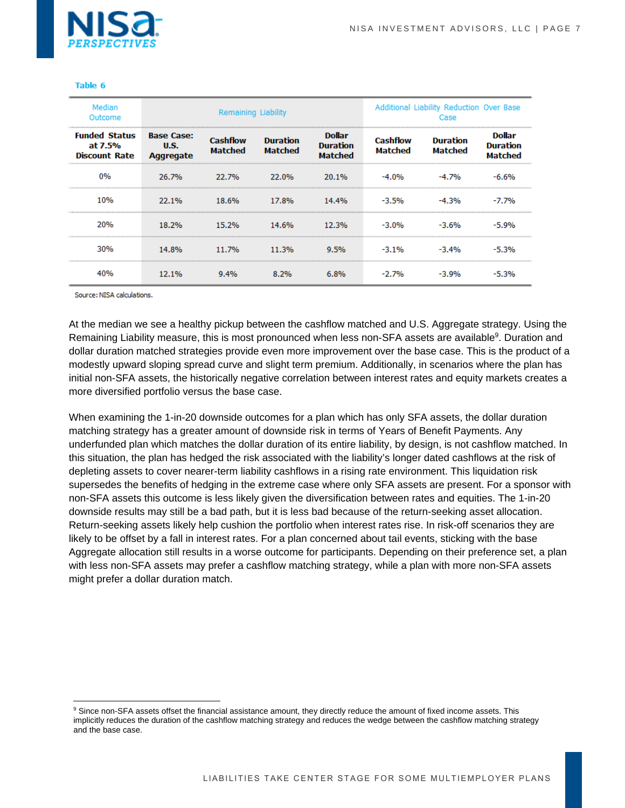

| Median<br>Outcome                                       |                                                      | <b>Remaining Liability</b>        |                                   |                                             | Additional Liability Reduction Over Base<br>Case |                                   |                                             |
|---------------------------------------------------------|------------------------------------------------------|-----------------------------------|-----------------------------------|---------------------------------------------|--------------------------------------------------|-----------------------------------|---------------------------------------------|
| <b>Funded Status</b><br>at 7.5%<br><b>Discount Rate</b> | <b>Base Case:</b><br><b>U.S.</b><br><b>Aggregate</b> | <b>Cashflow</b><br><b>Matched</b> | <b>Duration</b><br><b>Matched</b> | <b>Dollar</b><br><b>Duration</b><br>Matched | <b>Cashflow</b><br><b>Matched</b>                | <b>Duration</b><br><b>Matched</b> | Dollar<br><b>Duration</b><br><b>Matched</b> |
| $0\%$                                                   | 26.7%                                                | 22.7%                             | 22.0%                             | 20.1%                                       | $-4.0%$                                          | $-4.7%$                           | -6.6%                                       |
| 10%                                                     | 22.1%                                                | 18.6%                             | 17.8%                             | 14.4%                                       | -3.5%                                            | -4.3%                             | $-7.7%$                                     |
| 20%                                                     | 18.2%                                                | 15.2%                             | 14.6%                             | 12.3%                                       | -3.0%                                            | $-3.6%$                           | -5.0%                                       |
| 30%                                                     | 14.8%                                                | 11.7%                             | 11.3%                             | 9.5%                                        | $-3.1%$                                          | -3.4%                             | -5.3%                                       |
|                                                         | 12.1%                                                | 9.4%                              | 8.2%                              | 6.8%                                        | $-2.7%$                                          | $-3.9%$                           | -5.3%                                       |

Source: NISA calculations.

At the median we see a healthy pickup between the cashflow matched and U.S. Aggregate strategy. Using the Remaining Liability measure, this is most pronounced when less non-SFA assets are available<sup>9</sup>. Duration and dollar duration matched strategies provide even more improvement over the base case. This is the product of a modestly upward sloping spread curve and slight term premium. Additionally, in scenarios where the plan has initial non-SFA assets, the historically negative correlation between interest rates and equity markets creates a more diversified portfolio versus the base case.

When examining the 1-in-20 downside outcomes for a plan which has only SFA assets, the dollar duration matching strategy has a greater amount of downside risk in terms of Years of Benefit Payments. Any underfunded plan which matches the dollar duration of its entire liability, by design, is not cashflow matched. In this situation, the plan has hedged the risk associated with the liability's longer dated cashflows at the risk of depleting assets to cover nearer-term liability cashflows in a rising rate environment. This liquidation risk supersedes the benefits of hedging in the extreme case where only SFA assets are present. For a sponsor with non-SFA assets this outcome is less likely given the diversification between rates and equities. The 1-in-20 downside results may still be a bad path, but it is less bad because of the return-seeking asset allocation. Return-seeking assets likely help cushion the portfolio when interest rates rise. In risk-off scenarios they are likely to be offset by a fall in interest rates. For a plan concerned about tail events, sticking with the base Aggregate allocation still results in a worse outcome for participants. Depending on their preference set, a plan with less non-SFA assets may prefer a cashflow matching strategy, while a plan with more non-SFA assets might prefer a dollar duration match.

<sup>&</sup>lt;sup>9</sup> Since non-SFA assets offset the financial assistance amount, they directly reduce the amount of fixed income assets. This implicitly reduces the duration of the cashflow matching strategy and reduces the wedge between the cashflow matching strategy and the base case.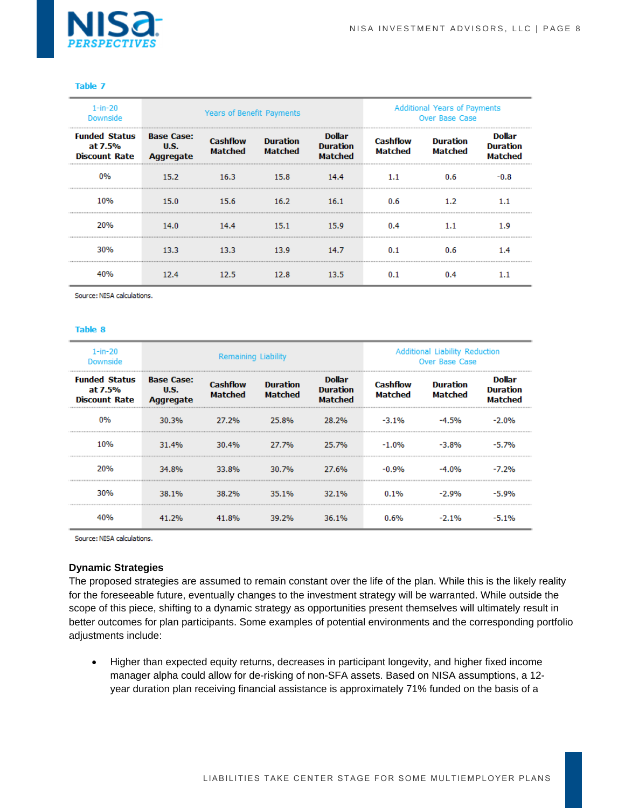

| $1 - in - 20$<br>Downside                               | Years of Benefit Payments                     |                                   |                                   |                                                    |                            | Additional Years of Payments<br>Over Base Case |                                      |
|---------------------------------------------------------|-----------------------------------------------|-----------------------------------|-----------------------------------|----------------------------------------------------|----------------------------|------------------------------------------------|--------------------------------------|
| <b>Funded Status</b><br>at 7.5%<br><b>Discount Rate</b> | <b>Base Case:</b><br><b>U.S.</b><br>Aggregate | <b>Cashflow</b><br><b>Matched</b> | <b>Duration</b><br><b>Matched</b> | <b>Dollar</b><br><b>Duration</b><br><b>Matched</b> | <b>Cashflow</b><br>Matched | <b>Duration</b><br><b>Matched</b>              | Dollar<br><b>Duration</b><br>Matched |
|                                                         | 15.2                                          | 16.3                              | 15.8                              | 14.4                                               | $1.1\,$                    | 0.6                                            |                                      |
| 10%                                                     | 15.0                                          | 15.6                              | 16.2                              | 16.1                                               | 0.6                        | 1.2                                            |                                      |
| 20%                                                     | 14.0                                          | 14.4                              | 15.1                              | 15.9                                               | 0.4                        | 1.1                                            | 1.9                                  |
| 30%                                                     | 13.3                                          | 13.3                              | 13.9                              | 14.7                                               | 0.1                        | 0.6                                            | 1.4                                  |
|                                                         | 12.4                                          | 12.5                              | 12.8                              | 13.5                                               | 0.1                        |                                                |                                      |

Source: NISA calculations.

#### Table 8

| $1 - in - 20$<br>Downside                               | Remaining Liability                                  |                                   |                                   |                                                    |                            | <b>Additional Liability Reduction</b><br>Over Base Case |                                      |
|---------------------------------------------------------|------------------------------------------------------|-----------------------------------|-----------------------------------|----------------------------------------------------|----------------------------|---------------------------------------------------------|--------------------------------------|
| <b>Funded Status</b><br>at 7.5%<br><b>Discount Rate</b> | <b>Base Case:</b><br><b>U.S.</b><br><b>Aggregate</b> | <b>Cashflow</b><br><b>Matched</b> | <b>Duration</b><br><b>Matched</b> | <b>Dollar</b><br><b>Duration</b><br><b>Matched</b> | <b>Cashflow</b><br>Matched | <b>Duration</b><br><b>Matched</b>                       | Dollar<br><b>Duration</b><br>Matched |
| 0%                                                      | 30.3%                                                | 27.2%                             | 25.8%                             | 28.2%                                              | $-3.1\%$                   |                                                         | -2.0%                                |
| 10%                                                     | 31.4%                                                | 30.4%                             | 27.7%                             | 25.7%                                              | -1.0%                      | $-3.8%$                                                 | <b>7%</b>                            |
| ንበ‰                                                     | 34.8%                                                | 33.8%                             | 30.7%                             | 27.6%                                              | -0.9%                      |                                                         | -7.2%                                |
| 30%                                                     | 38.1%                                                | 38.2%                             | 35.1%                             | 32.1%                                              | 0.1%                       | -2.9%                                                   |                                      |
|                                                         | 41.2%                                                |                                   | 39.2%                             | 36.1%                                              | በ 6%                       |                                                         |                                      |

Source: NISA calculations.

#### **Dynamic Strategies**

The proposed strategies are assumed to remain constant over the life of the plan. While this is the likely reality for the foreseeable future, eventually changes to the investment strategy will be warranted. While outside the scope of this piece, shifting to a dynamic strategy as opportunities present themselves will ultimately result in better outcomes for plan participants. Some examples of potential environments and the corresponding portfolio adjustments include:

 Higher than expected equity returns, decreases in participant longevity, and higher fixed income manager alpha could allow for de-risking of non-SFA assets. Based on NISA assumptions, a 12 year duration plan receiving financial assistance is approximately 71% funded on the basis of a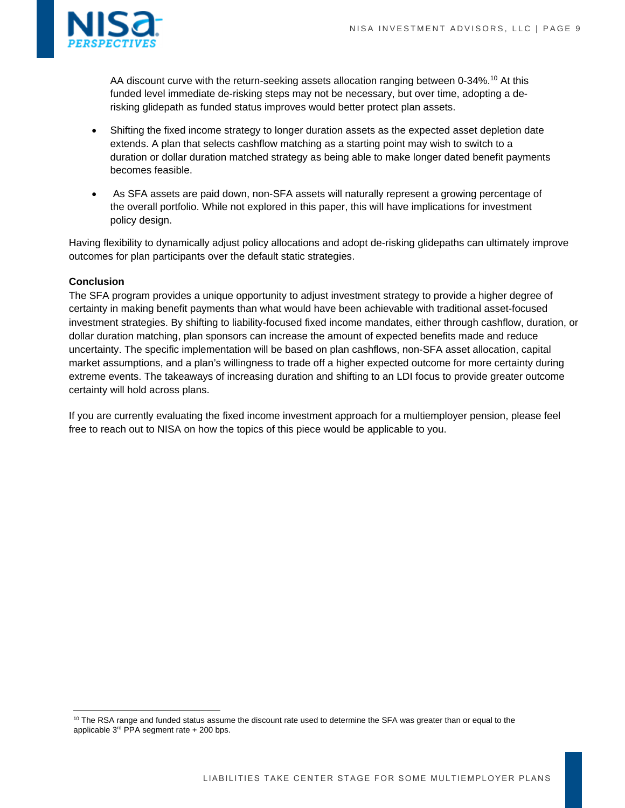

AA discount curve with the return-seeking assets allocation ranging between 0-34%.<sup>10</sup> At this funded level immediate de-risking steps may not be necessary, but over time, adopting a derisking glidepath as funded status improves would better protect plan assets.

- Shifting the fixed income strategy to longer duration assets as the expected asset depletion date extends. A plan that selects cashflow matching as a starting point may wish to switch to a duration or dollar duration matched strategy as being able to make longer dated benefit payments becomes feasible.
- As SFA assets are paid down, non-SFA assets will naturally represent a growing percentage of the overall portfolio. While not explored in this paper, this will have implications for investment policy design.

Having flexibility to dynamically adjust policy allocations and adopt de-risking glidepaths can ultimately improve outcomes for plan participants over the default static strategies.

## **Conclusion**

The SFA program provides a unique opportunity to adjust investment strategy to provide a higher degree of certainty in making benefit payments than what would have been achievable with traditional asset-focused investment strategies. By shifting to liability-focused fixed income mandates, either through cashflow, duration, or dollar duration matching, plan sponsors can increase the amount of expected benefits made and reduce uncertainty. The specific implementation will be based on plan cashflows, non-SFA asset allocation, capital market assumptions, and a plan's willingness to trade off a higher expected outcome for more certainty during extreme events. The takeaways of increasing duration and shifting to an LDI focus to provide greater outcome certainty will hold across plans.

If you are currently evaluating the fixed income investment approach for a multiemployer pension, please feel free to reach out to NISA on how the topics of this piece would be applicable to you.

<sup>&</sup>lt;sup>10</sup> The RSA range and funded status assume the discount rate used to determine the SFA was greater than or equal to the applicable  $3^{rd}$  PPA segment rate + 200 bps.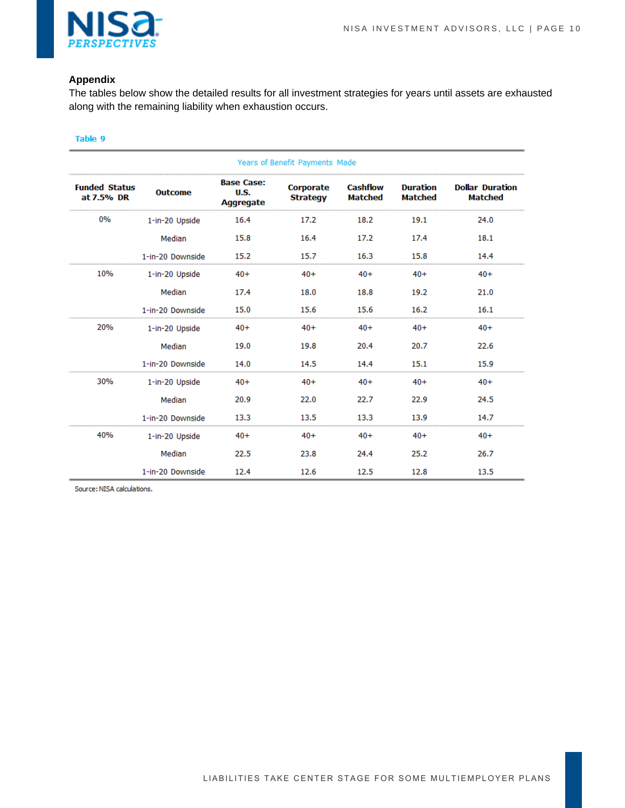

## **Appendix**

The tables below show the detailed results for all investment strategies for years until assets are exhausted along with the remaining liability when exhaustion occurs.

#### Table 9

| Years of Benefit Payments Made     |                  |                                                      |                                     |                                   |                                   |                                          |  |
|------------------------------------|------------------|------------------------------------------------------|-------------------------------------|-----------------------------------|-----------------------------------|------------------------------------------|--|
| <b>Funded Status</b><br>at 7.5% DR | <b>Outcome</b>   | <b>Base Case:</b><br><b>U.S.</b><br><b>Aggregate</b> | <b>Corporate</b><br><b>Strategy</b> | <b>Cashflow</b><br><b>Matched</b> | <b>Duration</b><br><b>Matched</b> | <b>Dollar Duration</b><br><b>Matched</b> |  |
| 0%                                 | 1-in-20 Upside   | 16.4                                                 | 17.2                                | 18.2                              | 19.1                              | 24.0                                     |  |
|                                    | Median           | 15.8                                                 | 16.4                                | 17.2                              | 17.4                              | 18.1                                     |  |
|                                    | 1-in-20 Downside | 15.2                                                 | 15.7                                | 16.3                              | 15.8                              | 14.4                                     |  |
| 10%                                | 1-in-20 Upside   | $40+$                                                | $40+$                               | $40+$                             | $40+$                             | $40+$                                    |  |
|                                    | Median           | 17.4                                                 | 18.0                                | 18.8                              | 19.2                              | 21.0                                     |  |
|                                    | 1-in-20 Downside | 15.0                                                 | 15.6                                | 15.6                              | 16.2                              | 16.1                                     |  |
| 20%                                | 1-in-20 Upside   | $40+$                                                | $40+$                               | $40+$                             | $40+$                             | $40+$                                    |  |
|                                    | Median           | 19.0                                                 | 19.8                                | 20.4                              | 20.7                              | 22.6                                     |  |
|                                    | 1-in-20 Downside | 14.0                                                 | 14.5                                | 14.4                              | 15.1                              | 15.9                                     |  |
| 30%                                | 1-in-20 Upside   | $40+$                                                | $40+$                               | $40+$                             | $40+$                             | $40+$                                    |  |
|                                    | Median           | 20.9                                                 | 22.0                                | 22.7                              | 22.9                              | 24.5                                     |  |
|                                    | 1-in-20 Downside | 13.3                                                 | 13.5                                | 13.3                              | 13.9                              | 14.7                                     |  |
| 40%                                | 1-in-20 Upside   | $40+$                                                | $40+$                               | $40+$                             | $40+$                             | $40+$                                    |  |
|                                    | Median           | 22.5                                                 | 23.8                                | 24.4                              | 25.2                              | 26.7                                     |  |
|                                    | 1-in-20 Downside | 12.4                                                 | 12.6                                | 12.5                              | 12.8                              | 13.5                                     |  |

Source: NISA calculations.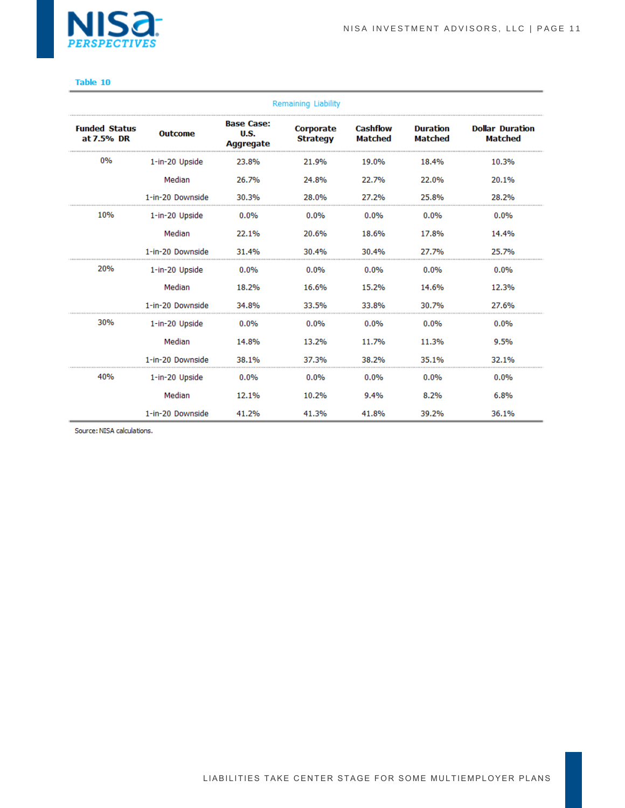

| <b>Remaining Liability</b>         |                  |                                                      |                                     |                                   |                                   |                                          |  |
|------------------------------------|------------------|------------------------------------------------------|-------------------------------------|-----------------------------------|-----------------------------------|------------------------------------------|--|
| <b>Funded Status</b><br>at 7.5% DR | <b>Outcome</b>   | <b>Base Case:</b><br><b>U.S.</b><br><b>Aggregate</b> | <b>Corporate</b><br><b>Strategy</b> | <b>Cashflow</b><br><b>Matched</b> | <b>Duration</b><br><b>Matched</b> | <b>Dollar Duration</b><br><b>Matched</b> |  |
| 0%                                 | 1-in-20 Upside   | 23.8%                                                | 21.9%                               | 19.0%                             | 18.4%                             | 10.3%                                    |  |
|                                    | Median           | 26.7%                                                | 24.8%                               | 22.7%                             | 22.0%                             | 20.1%                                    |  |
|                                    | 1-in-20 Downside | 30.3%                                                | 28.0%                               | 27.2%                             | 25.8%                             | 28.2%                                    |  |
| 10%                                | 1-in-20 Upside   | $0.0\%$                                              | 0.0%                                | 0.0%                              | $0.0\%$                           | 0.0%                                     |  |
|                                    | Median           | 22.1%                                                | 20.6%                               | 18.6%                             | 17.8%                             | 14.4%                                    |  |
|                                    | 1-in-20 Downside | 31.4%                                                | 30.4%                               | 30.4%                             | 27.7%                             | 25.7%                                    |  |
| 20%                                | 1-in-20 Upside   | 0.0%                                                 | 0.0%                                | 0.0%                              | 0.0%                              | 0.0%                                     |  |
|                                    | Median           | 18.2%                                                | 16.6%                               | 15.2%                             | 14.6%                             | 12.3%                                    |  |
|                                    | 1-in-20 Downside | 34.8%                                                | 33.5%                               | 33.8%                             | 30.7%                             | 27.6%                                    |  |
| 30%                                | 1-in-20 Upside   | $0.0\%$                                              | $0.0\%$                             | 0.0%                              | 0.0%                              | 0.0%                                     |  |
|                                    | Median           | 14.8%                                                | 13.2%                               | 11.7%                             | 11.3%                             | 9.5%                                     |  |
|                                    | 1-in-20 Downside | 38.1%                                                | 37.3%                               | 38.2%                             | 35.1%                             | 32.1%                                    |  |
| 40%                                | 1-in-20 Upside   | 0.0%                                                 | 0.0%                                | 0.0%                              | 0.0%                              | 0.0%                                     |  |
|                                    | Median           | 12.1%                                                | 10.2%                               | 9.4%                              | 8.2%                              | 6.8%                                     |  |
|                                    | 1-in-20 Downside | 41.2%                                                | 41.3%                               | 41.8%                             | 39.2%                             | 36.1%                                    |  |

Source: NISA calculations.